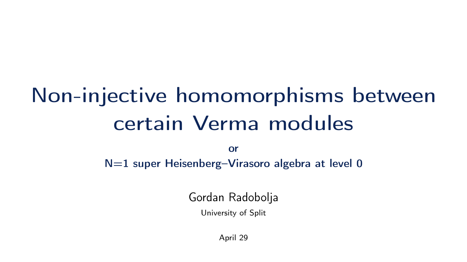# Non-injective homomorphisms between certain Verma modules

or N=1 super Heisenberg-Virasoro algebra at level 0

Gordan Radobolja

University of Split

April 29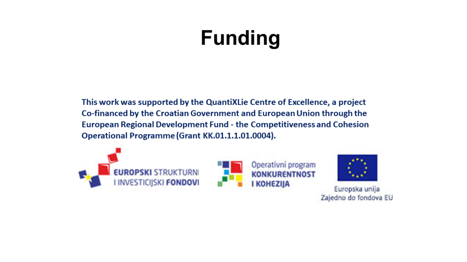# **Funding**

This work was supported by the QuantiXLie Centre of Excellence, a project Co-financed by the Croatian Government and European Union through the European Regional Development Fund - the Competitiveness and Cohesion Operational Programme (Grant KK.01.1.1.01.0004).







Europska unija Zajedno do fondova EU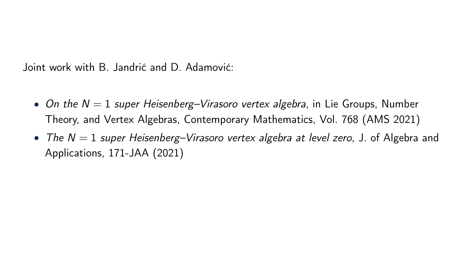Joint work with B. Jandrić and D. Adamović:

- On the  $N = 1$  super Heisenberg–Virasoro vertex algebra, in Lie Groups, Number Theory, and Vertex Algebras, Contemporary Mathematics, Vol. 768 (AMS 2021)
- The  $N = 1$  super Heisenberg–Virasoro vertex algebra at level zero, J. of Algebra and Applications, 171-JAA (2021)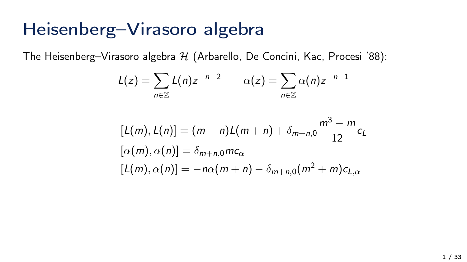### Heisenberg–Virasoro algebra

The Heisenberg–Virasoro algebra  $H$  (Arbarello, De Concini, Kac, Procesi '88):

$$
L(z) = \sum_{n \in \mathbb{Z}} L(n) z^{-n-2} \qquad \alpha(z) = \sum_{n \in \mathbb{Z}} \alpha(n) z^{-n-1}
$$

$$
[L(m), L(n)] = (m - n)L(m + n) + \delta_{m+n,0} \frac{m^3 - m}{12}c_L
$$
  
\n
$$
[\alpha(m), \alpha(n)] = \delta_{m+n,0}mc_{\alpha}
$$
  
\n
$$
[L(m), \alpha(n)] = -n\alpha(m + n) - \delta_{m+n,0}(m^2 + m)c_{L,\alpha}
$$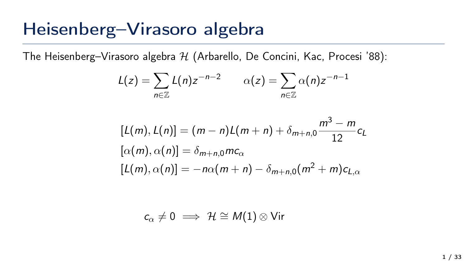### Heisenberg–Virasoro algebra

The Heisenberg–Virasoro algebra  $H$  (Arbarello, De Concini, Kac, Procesi '88):

$$
L(z) = \sum_{n \in \mathbb{Z}} L(n) z^{-n-2} \qquad \alpha(z) = \sum_{n \in \mathbb{Z}} \alpha(n) z^{-n-1}
$$

$$
[L(m), L(n)] = (m - n)L(m + n) + \delta_{m+n,0} \frac{m^3 - m}{12}c_L
$$
  
\n
$$
[\alpha(m), \alpha(n)] = \delta_{m+n,0}mc_{\alpha}
$$
  
\n
$$
[L(m), \alpha(n)] = -n\alpha(m + n) - \delta_{m+n,0}(m^2 + m)c_{L,\alpha}
$$

$$
c_\alpha \neq 0 \implies \mathcal{H} \cong \mathcal{M}(1) \otimes \textsf{Vir}
$$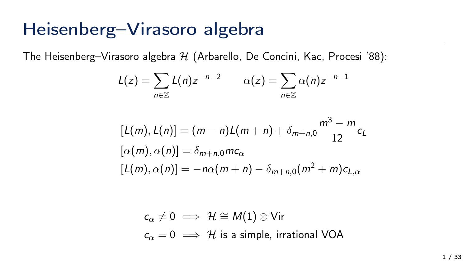### Heisenberg–Virasoro algebra

The Heisenberg–Virasoro algebra  $H$  (Arbarello, De Concini, Kac, Procesi '88):

$$
L(z) = \sum_{n \in \mathbb{Z}} L(n) z^{-n-2} \qquad \alpha(z) = \sum_{n \in \mathbb{Z}} \alpha(n) z^{-n-1}
$$

$$
[L(m), L(n)] = (m - n)L(m + n) + \delta_{m+n,0} \frac{m^3 - m}{12}c_L
$$
  
\n
$$
[\alpha(m), \alpha(n)] = \delta_{m+n,0}mc_{\alpha}
$$
  
\n
$$
[L(m), \alpha(n)] = -n\alpha(m + n) - \delta_{m+n,0}(m^2 + m)c_{L,\alpha}
$$

$$
c_{\alpha} \neq 0 \implies \mathcal{H} \cong M(1) \otimes \text{Vir}
$$
  
 $c_{\alpha} = 0 \implies \mathcal{H}$  is a simple, irrational VOA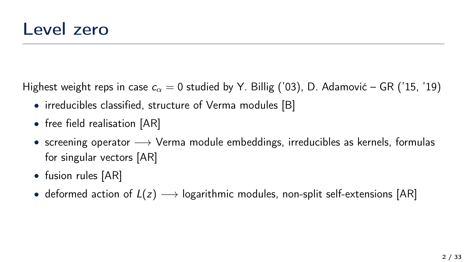Highest weight reps in case  $c_{\alpha} = 0$  studied by Y. Billig ('03), D. Adamović – GR ('15, '19)

- irreducibles classified, structure of Verma modules [B]
- free field realisation [AR]
- screening operator  $\longrightarrow$  Verma module embeddings, irreducibles as kernels, formulas for singular vectors [AR]
- fusion rules [AR]
- deformed action of  $L(z) \longrightarrow$  logarithmic modules, non-split self-extensions [AR]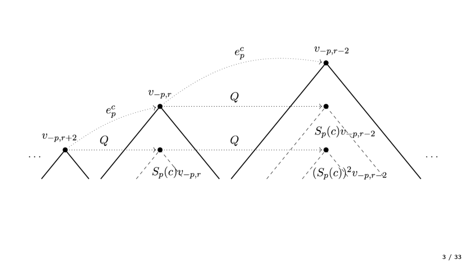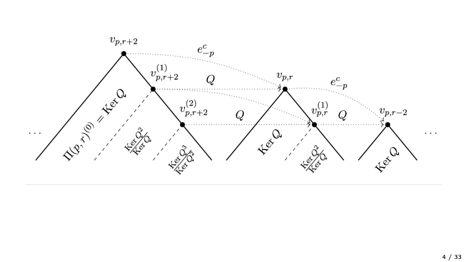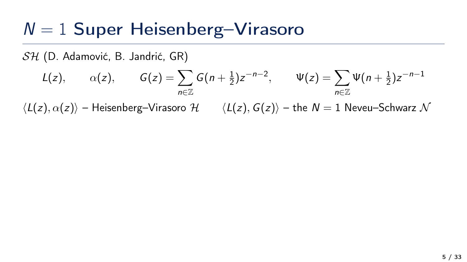### $N = 1$  Super Heisenberg-Virasoro

SH (D. Adamović, B. Jandrić, GR)

$$
L(z), \qquad \alpha(z), \qquad G(z) = \sum_{n \in \mathbb{Z}} G(n + \frac{1}{2}) z^{-n-2}, \qquad \Psi(z) = \sum_{n \in \mathbb{Z}} \Psi(n + \frac{1}{2}) z^{-n-1}
$$

 $\langle L(z), \alpha(z)\rangle$  – Heisenberg–Virasoro H  $\langle L(z), G(z)\rangle$  – the N = 1 Neveu–Schwarz N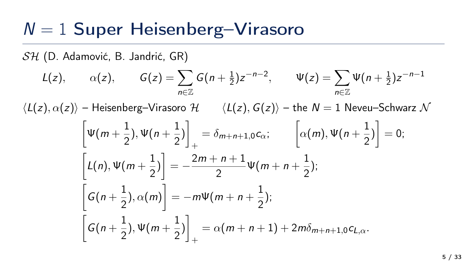### $N = 1$  Super Heisenberg-Virasoro

SH (D. Adamović, B. Jandrić, GR)

$$
L(z), \qquad \alpha(z), \qquad G(z) = \sum_{n \in \mathbb{Z}} G(n + \frac{1}{2}) z^{-n-2}, \qquad \Psi(z) = \sum_{n \in \mathbb{Z}} \Psi(n + \frac{1}{2}) z^{-n-1}
$$

 $\langle L(z), \alpha(z)\rangle$  – Heisenberg–Virasoro H  $\langle L(z), G(z)\rangle$  – the N = 1 Neveu–Schwarz N

$$
\begin{aligned}\n\left[\Psi(m+\frac{1}{2}),\Psi(n+\frac{1}{2})\right]_{+} &= \delta_{m+n+1,0}c_{\alpha}; \qquad \left[\alpha(m),\Psi(n+\frac{1}{2})\right] = 0; \\
\left[L(n),\Psi(m+\frac{1}{2})\right] &= -\frac{2m+n+1}{2}\Psi(m+n+\frac{1}{2}); \\
\left[G(n+\frac{1}{2}),\alpha(m)\right] &= -m\Psi(m+n+\frac{1}{2}); \\
\left[G(n+\frac{1}{2}),\Psi(m+\frac{1}{2})\right]_{+} &= \alpha(m+n+1)+2m\delta_{m+n+1,0}c_{L,\alpha}.\n\end{aligned}
$$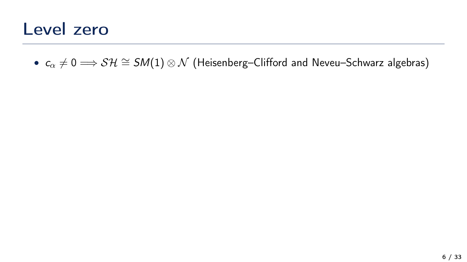### Level zero

•  $c_{\alpha} \neq 0 \Longrightarrow \mathcal{SH} \cong \mathcal{SM}(1) \otimes \mathcal{N}$  (Heisenberg–Clifford and Neveu–Schwarz algebras)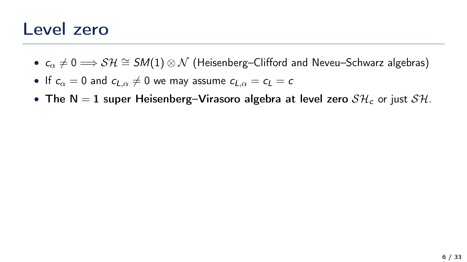### Level zero

- $c_{\alpha} \neq 0 \Longrightarrow \mathcal{SH} \cong \mathcal{SM}(1) \otimes \mathcal{N}$  (Heisenberg–Clifford and Neveu–Schwarz algebras)
- If  $c_{\alpha} = 0$  and  $c_{L,\alpha} \neq 0$  we may assume  $c_{L,\alpha} = c_L = c$
- The N = 1 super Heisenberg–Virasoro algebra at level zero  $\mathcal{SH}_c$  or just  $\mathcal{SH}_c$ .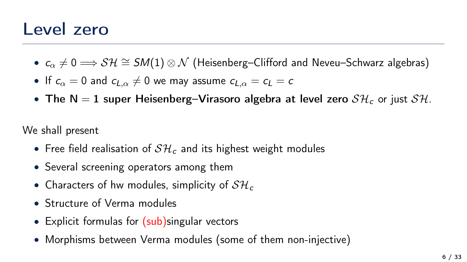### Level zero

- $c_{\alpha} \neq 0 \Longrightarrow \mathcal{SH} \cong \mathcal{SM}(1) \otimes \mathcal{N}$  (Heisenberg–Clifford and Neveu–Schwarz algebras)
- If  $c_{\alpha} = 0$  and  $c_{L,\alpha} \neq 0$  we may assume  $c_{L,\alpha} = c_L = c$
- The N = 1 super Heisenberg–Virasoro algebra at level zero  $\mathcal{SH}_c$  or just  $\mathcal{SH}_c$ .

We shall present

- Free field realisation of  $S H_c$  and its highest weight modules
- Several screening operators among them
- Characters of hw modules, simplicity of  $S\mathcal{H}_c$
- Structure of Verma modules
- Explicit formulas for (sub)singular vectors
- Morphisms between Verma modules (some of them non-injective)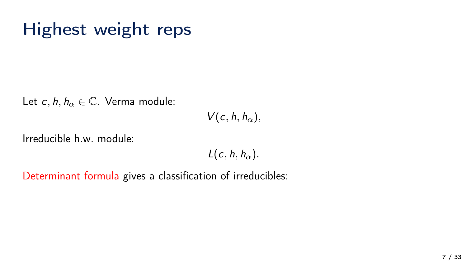## Highest weight reps

Let c, h,  $h_{\alpha} \in \mathbb{C}$ . Verma module:

 $V(c, h, h_{\alpha}),$ 

Irreducible h.w. module:

 $L(c, h, h_{\alpha}).$ 

Determinant formula gives a classification of irreducibles: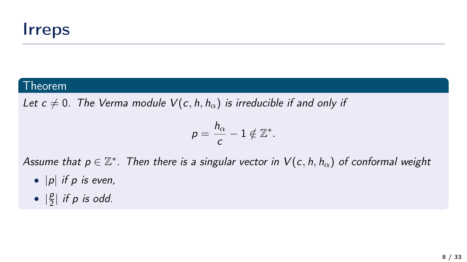#### **Theorem**

Let  $c \neq 0$ . The Verma module  $V(c, h, h_{\alpha})$  is irreducible if and only if

$$
p=\frac{h_{\alpha}}{c}-1\notin\mathbb{Z}^*.
$$

Assume that  $p\in\mathbb{Z}^*$ . Then there is a singular vector in  $\mathcal{V}(c,h,h_\alpha)$  of conformal weight

- $|p|$  if p is even,
- $\bullet \ \mid \frac{p}{2}$  $\frac{p}{2}$ | if p is odd.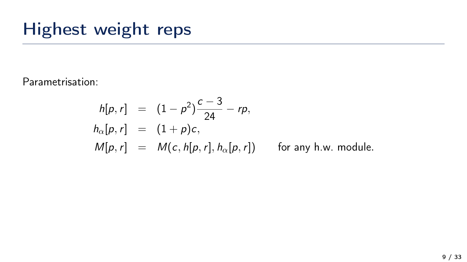## Highest weight reps

Parametrisation:

$$
h[p,r] = (1-p^2)\frac{c-3}{24} - rp,
$$
  
\n
$$
h_{\alpha}[p,r] = (1+p)c,
$$
  
\n
$$
M[p,r] = M(c, h[p,r], h_{\alpha}[p,r]) \text{ for any h.w. module.}
$$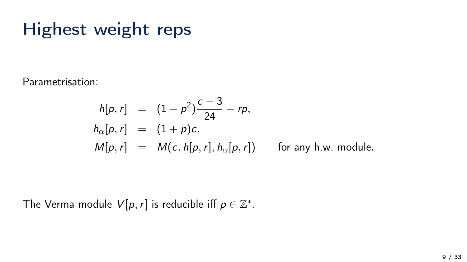## Highest weight reps

Parametrisation:

$$
h[p, r] = (1 - p2) \frac{c - 3}{24} - rp,
$$
  
\n
$$
h_{\alpha}[p, r] = (1 + p)c,
$$
  
\n
$$
M[p, r] = M(c, h[p, r], h_{\alpha}[p, r]) \text{ for any h.w. module.}
$$

The Verma module  $V[p, r]$  is reducible iff  $p \in \mathbb{Z}^*$ .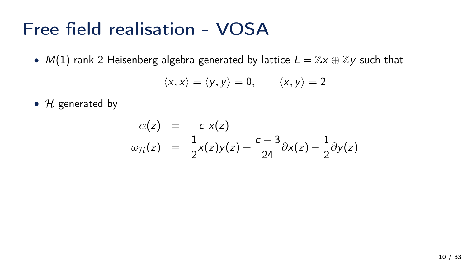### Free field realisation - VOSA

•  $M(1)$  rank 2 Heisenberg algebra generated by lattice  $L = \mathbb{Z} \times \oplus \mathbb{Z}$ y such that

$$
\langle x, x \rangle = \langle y, y \rangle = 0, \qquad \langle x, y \rangle = 2
$$

•  $H$  generated by

$$
\alpha(z) = -c \times (z)
$$
  
\n
$$
\omega_{\mathcal{H}}(z) = \frac{1}{2} \times (z) y(z) + \frac{c-3}{24} \partial x(z) - \frac{1}{2} \partial y(z)
$$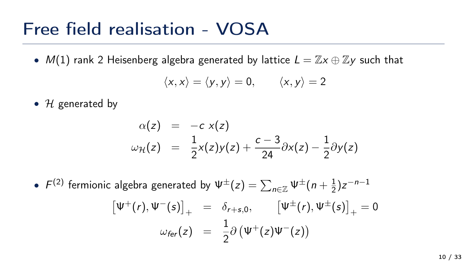### Free field realisation - VOSA

•  $M(1)$  rank 2 Heisenberg algebra generated by lattice  $L = \mathbb{Z} \times \oplus \mathbb{Z} \times \mathbb{Z}$  such that

$$
\langle x, x \rangle = \langle y, y \rangle = 0, \qquad \langle x, y \rangle = 2
$$

•  $H$  generated by

$$
\alpha(z) = -c \times(z)
$$
  
\n
$$
\omega_{\mathcal{H}}(z) = \frac{1}{2} \times (z) y(z) + \frac{c-3}{24} \partial x(z) - \frac{1}{2} \partial y(z)
$$

 $\bullet\;\;F^{(2)}$  fermionic algebra generated by  $\Psi^{\pm}(z)=\sum_{n\in\mathbb{Z}}\Psi^{\pm}(n+\frac{1}{2})$  $(\frac{1}{2})z^{-n-1}$  $\left[\Psi^+(r),\Psi^-(s)\right]_+ = \delta_{r+s,0}, \qquad \left[\Psi^{\pm}(r),\Psi^{\pm}(s)\right]_+ = 0$  $\omega_{\text{fer}}(z) = \frac{1}{2} \partial (\Psi^+(z) \Psi^-(z))$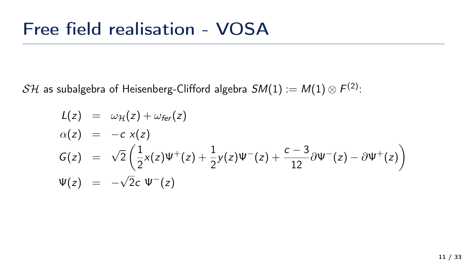${\cal {SH}}$  as subalgebra of Heisenberg-Clifford algebra  ${\cal {SM}}(1):={\cal {M}}(1)\otimes F^{(2)};$ 

$$
L(z) = \omega_{\mathcal{H}}(z) + \omega_{\text{fer}}(z)
$$
  
\n
$$
\alpha(z) = -c \times(z)
$$
  
\n
$$
G(z) = \sqrt{2} \left( \frac{1}{2} \times (z) \Psi^{+}(z) + \frac{1}{2} y(z) \Psi^{-}(z) + \frac{c-3}{12} \partial \Psi^{-}(z) - \partial \Psi^{+}(z) \right)
$$
  
\n
$$
\Psi(z) = -\sqrt{2}c \Psi^{-}(z)
$$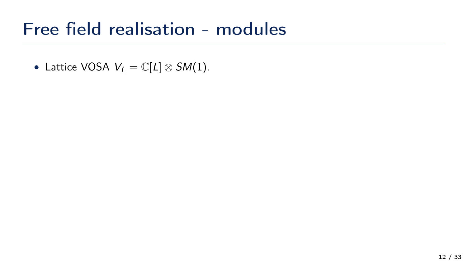• Lattice VOSA  $V_L = \mathbb{C}[L] \otimes SM(1)$ .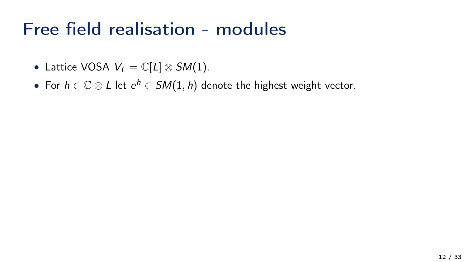- Lattice VOSA  $V_L = \mathbb{C}[L] \otimes SM(1)$ .
- For  $h \in \mathbb{C} \otimes L$  let  $e^h \in SM(1,h)$  denote the highest weight vector.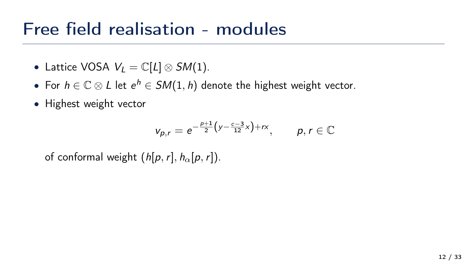- Lattice VOSA  $V_L = \mathbb{C}[L] \otimes SM(1)$ .
- For  $h \in \mathbb{C} \otimes L$  let  $e^h \in SM(1,h)$  denote the highest weight vector.
- Highest weight vector

$$
v_{p,r} = e^{-\frac{p+1}{2}(y - \frac{c-3}{12}x) + rx}, \qquad p, r \in \mathbb{C}
$$

of conformal weight  $(h[p, r], h_{\alpha}[p, r])$ .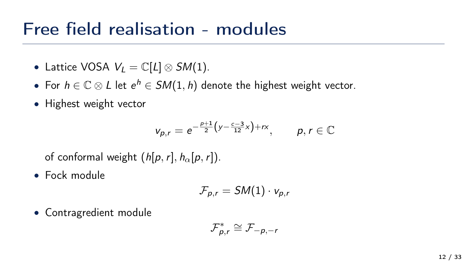- Lattice VOSA  $V_L = \mathbb{C}[L] \otimes SM(1)$ .
- For  $h \in \mathbb{C} \otimes L$  let  $e^h \in SM(1,h)$  denote the highest weight vector.
- Highest weight vector

$$
v_{p,r} = e^{-\frac{p+1}{2}(y - \frac{c-3}{12}x) + rx}, \qquad p, r \in \mathbb{C}
$$

of conformal weight  $(h[p, r], h_{\alpha}[p, r])$ .

• Fock module

$$
\mathcal{F}_{p,r}=SM(1)\cdot v_{p,r}
$$

• Contragredient module

$$
\mathcal{F}_{p,r}^* \cong \mathcal{F}_{-p,-r}
$$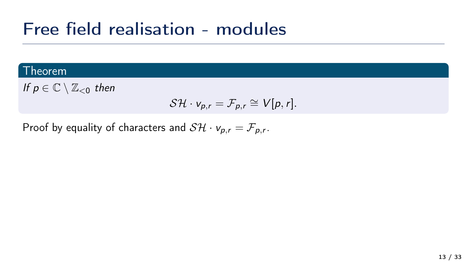#### **Theorem**

If  $p \in \mathbb{C} \setminus \mathbb{Z}_{\leq 0}$  then

$$
\mathcal{SH} \cdot v_{p,r} = \mathcal{F}_{p,r} \cong V[p,r].
$$

Proof by equality of characters and  $\mathcal{SH} \cdot \mathsf{v}_{\mathsf{p},\mathsf{r}} = \mathcal{F}_{\mathsf{p},\mathsf{r}}.$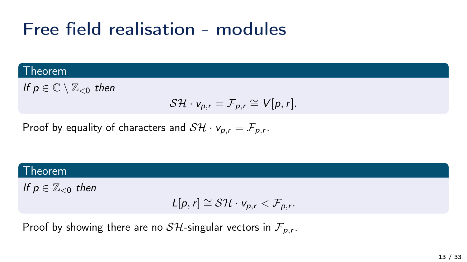#### Theorem

If  $p \in \mathbb{C} \setminus \mathbb{Z}_{\leq 0}$  then

$$
\mathcal{SH} \cdot v_{p,r} = \mathcal{F}_{p,r} \cong V[p,r].
$$

Proof by equality of characters and  $\mathcal{SH} \cdot \mathsf{v}_{\mathsf{p},\mathsf{r}} = \mathcal{F}_{\mathsf{p},\mathsf{r}}.$ 

#### Theorem

If  $p \in \mathbb{Z}_{\leq 0}$  then

$$
L[p,r] \cong \mathcal{SH} \cdot v_{p,r} < \mathcal{F}_{p,r}.
$$

Proof by showing there are no  ${\cal {SH}}$ -singular vectors in  $\mathcal{F}_{\rho,r}.$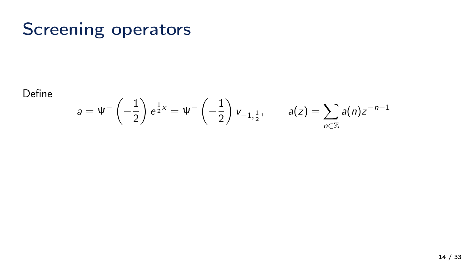## Screening operators

Define

$$
a = \Psi^{-}\left(-\frac{1}{2}\right) e^{\frac{1}{2}x} = \Psi^{-}\left(-\frac{1}{2}\right) v_{-1,\frac{1}{2}}, \qquad a(z) = \sum_{n \in \mathbb{Z}} a(n) z^{-n-1}
$$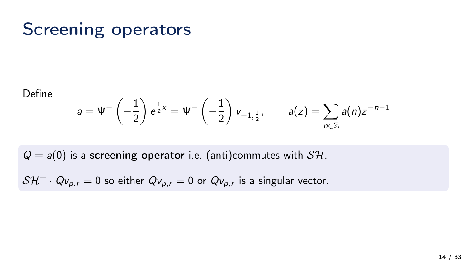## Screening operators

Define

$$
a = \Psi^{-}\left(-\frac{1}{2}\right) e^{\frac{1}{2}x} = \Psi^{-}\left(-\frac{1}{2}\right) v_{-1,\frac{1}{2}}, \qquad a(z) = \sum_{n \in \mathbb{Z}} a(n) z^{-n-1}
$$

 $Q = a(0)$  is a screening operator i.e. (anti)commutes with  $S H$ .

 $\mathcal{SH}^+ \cdot Q_{V_{p,r}} = 0$  so either  $Q_{V_{p,r}} = 0$  or  $Q_{V_{p,r}}$  is a singular vector.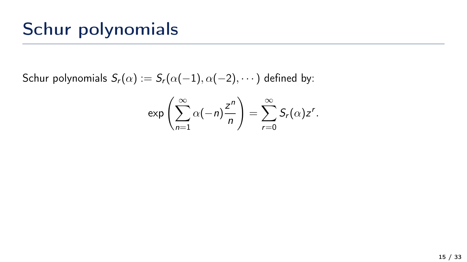## Schur polynomials

Schur polynomials  $S_r(\alpha) := S_r(\alpha(-1), \alpha(-2), \cdots)$  defined by:

$$
\exp\left(\sum_{n=1}^{\infty}\alpha(-n)\frac{z^n}{n}\right)=\sum_{r=0}^{\infty}S_r(\alpha)z^r.
$$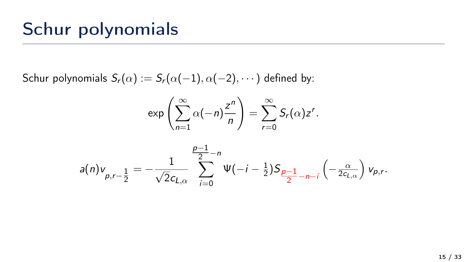## Schur polynomials

Schur polynomials  $S_r(\alpha) := S_r(\alpha(-1), \alpha(-2), \cdots)$  defined by:

$$
\exp\left(\sum_{n=1}^{\infty}\alpha(-n)\frac{z^n}{n}\right)=\sum_{r=0}^{\infty}S_r(\alpha)z^r.
$$

$$
a(n)v_{p,r-\frac{1}{2}} = -\frac{1}{\sqrt{2}c_{L,\alpha}}\sum_{i=0}^{\frac{p-1}{2}-n}\Psi(-i-\frac{1}{2})S_{\frac{p-1}{2}-n-i}\left(-\frac{\alpha}{2c_{L,\alpha}}\right)v_{p,r}.
$$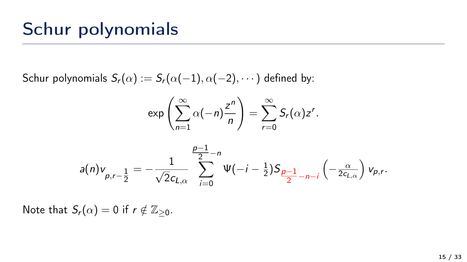## Schur polynomials

Schur polynomials  $S_r(\alpha) := S_r(\alpha(-1), \alpha(-2), \cdots)$  defined by:

$$
\exp\left(\sum_{n=1}^{\infty}\alpha(-n)\frac{z^n}{n}\right)=\sum_{r=0}^{\infty}S_r(\alpha)z^r.
$$

$$
a(n)v_{p,r-\frac{1}{2}} = -\frac{1}{\sqrt{2}c_{L,\alpha}}\sum_{i=0}^{\frac{p-1}{2}-n}\Psi(-i-\frac{1}{2})S_{\frac{p-1}{2}-n-i}\left(-\frac{\alpha}{2c_{L,\alpha}}\right)v_{p,r}.
$$

Note that  $S_r(\alpha) = 0$  if  $r \notin \mathbb{Z}_{\geq 0}$ .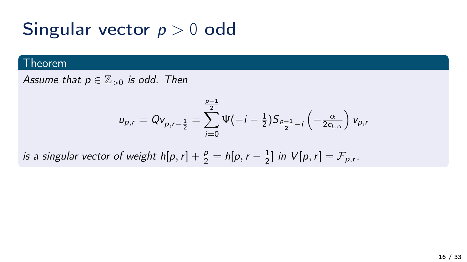## Singular vector  $p > 0$  odd

#### Theorem

Assume that  $p \in \mathbb{Z}_{>0}$  is odd. Then

$$
u_{p,r} = Qv_{p,r-\frac{1}{2}} = \sum_{i=0}^{\frac{p-1}{2}} \Psi(-i-\frac{1}{2})S_{\frac{p-1}{2}-i}\left(-\frac{\alpha}{2c_{L,\alpha}}\right)v_{p,r}
$$

is a singular vector of weight  $h[p, r] + \frac{p}{2} = h[p, r - \frac{1}{2}]$  $\frac{1}{2}$ ] in  $V[p,r] = \mathcal{F}_{p,r}$ .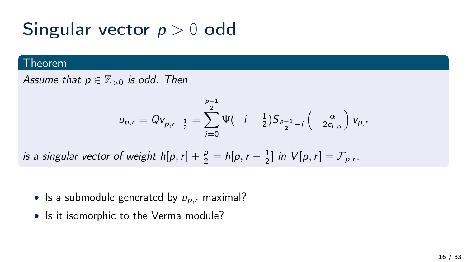## Singular vector  $p > 0$  odd

#### Theorem

Assume that  $p \in \mathbb{Z}_{>0}$  is odd. Then

$$
u_{p,r} = Qv_{p,r-\frac{1}{2}} = \sum_{i=0}^{\frac{p-1}{2}} \Psi(-i-\frac{1}{2})S_{\frac{p-1}{2}-i}\left(-\frac{\alpha}{2c_{L,\alpha}}\right)v_{p,r}
$$

is a singular vector of weight  $h[p, r] + \frac{p}{2} = h[p, r - \frac{1}{2}]$  $\frac{1}{2}$ ] in  $V[p,r] = \mathcal{F}_{p,r}$ .

- Is a submodule generated by  $u_{p,r}$  maximal?
- Is it isomorphic to the Verma module?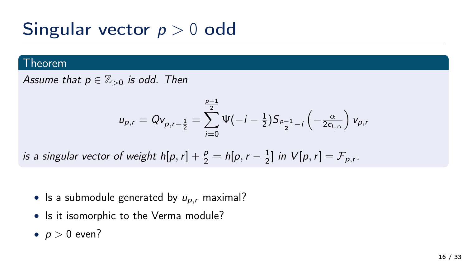## Singular vector  $p > 0$  odd

#### Theorem

Assume that  $p \in \mathbb{Z}_{>0}$  is odd. Then

$$
u_{p,r} = Qv_{p,r-\frac{1}{2}} = \sum_{i=0}^{\frac{p-1}{2}} \Psi(-i-\frac{1}{2})S_{\frac{p-1}{2}-i}\left(-\frac{\alpha}{2c_{L,\alpha}}\right)v_{p,r}
$$

is a singular vector of weight  $h[p, r] + \frac{p}{2} = h[p, r - \frac{1}{2}]$  $\frac{1}{2}$ ] in  $V[p,r] = \mathcal{F}_{p,r}$ .

- Is a submodule generated by  $u_{p,r}$  maximal?
- Is it isomorphic to the Verma module?
- $p > 0$  even?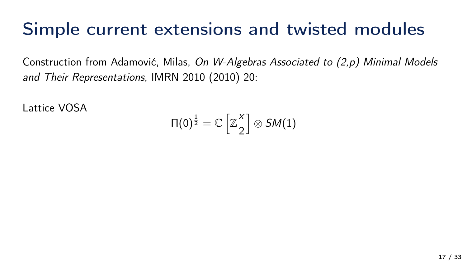### Simple current extensions and twisted modules

Construction from Adamović, Milas, On W-Algebras Associated to (2,p) Minimal Models and Their Representations, IMRN 2010 (2010) 20:

Lattice VOSA

$$
\Pi(0)^{\frac{1}{2}}=\mathbb{C}\left[\mathbb{Z}\frac{x}{2}\right]\otimes S M(1)
$$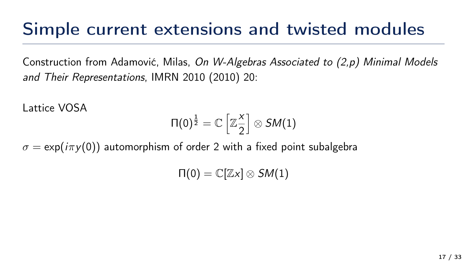### Simple current extensions and twisted modules

Construction from Adamović, Milas, On W-Algebras Associated to (2,p) Minimal Models and Their Representations, IMRN 2010 (2010) 20:

Lattice VOSA

$$
\Pi(0)^{\frac{1}{2}}=\mathbb{C}\left[\mathbb{Z}\frac{x}{2}\right]\otimes S M(1)
$$

 $\sigma = \exp(i\pi y(0))$  automorphism of order 2 with a fixed point subalgebra

 $\Pi(0) = \mathbb{C}[\mathbb{Z} \times ] \otimes SM(1)$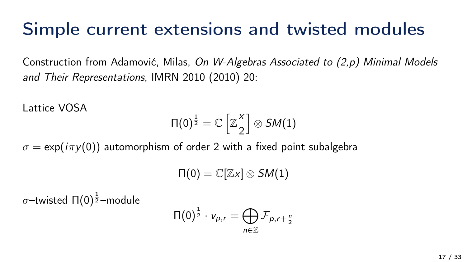### Simple current extensions and twisted modules

Construction from Adamović, Milas, On W-Algebras Associated to (2,p) Minimal Models and Their Representations, IMRN 2010 (2010) 20:

Lattice VOSA

$$
\Pi(0)^{\frac{1}{2}}=\mathbb{C}\left[\mathbb{Z}\frac{\mathsf{x}}{2}\right]\otimes\mathsf{SM}(1)
$$

 $\sigma = \exp(i\pi y(0))$  automorphism of order 2 with a fixed point subalgebra

$$
\Pi(0) = \mathbb{C}[\mathbb{Z}x] \otimes SM(1)
$$

 $\sigma$ –twisted Π(0) $^{\frac{1}{2}}$ –module

$$
\Pi(0)^{\frac{1}{2}}\cdot v_{p,r}=\bigoplus_{n\in\mathbb{Z}}\mathcal{F}_{p,r+\frac{n}{2}}
$$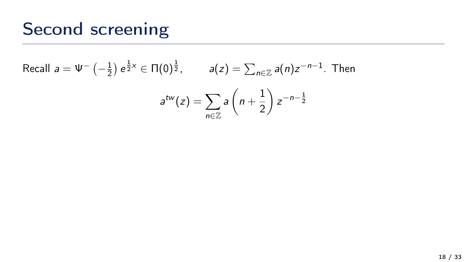## Second screening

Recall 
$$
a = \Psi^{-}(-\frac{1}{2}) e^{\frac{1}{2}x} \in \Pi(0)^{\frac{1}{2}}
$$
,  $a(z) = \sum_{n \in \mathbb{Z}} a(n)z^{-n-1}$ . Then  

$$
a^{tw}(z) = \sum_{n \in \mathbb{Z}} a\left(n + \frac{1}{2}\right) z^{-n-\frac{1}{2}}
$$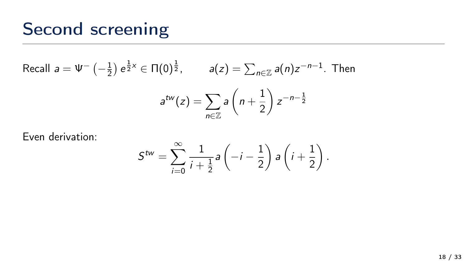## Second screening

Recall 
$$
a = \Psi^{-}(-\frac{1}{2}) e^{\frac{1}{2}x} \in \Pi(0)^{\frac{1}{2}}
$$
,  $a(z) = \sum_{n \in \mathbb{Z}} a(n)z^{-n-1}$ . Then  

$$
a^{tw}(z) = \sum_{n \in \mathbb{Z}} a\left(n + \frac{1}{2}\right) z^{-n-\frac{1}{2}}
$$

Even derivation:

$$
S^{tw} = \sum_{i=0}^{\infty} \frac{1}{i + \frac{1}{2}} a\left(-i - \frac{1}{2}\right) a\left(i + \frac{1}{2}\right).
$$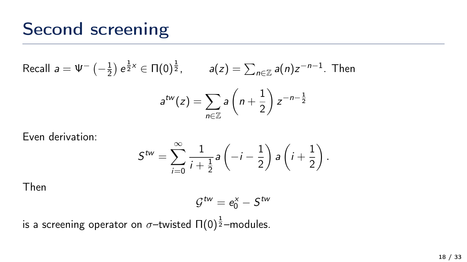### Second screening

Recall 
$$
a = \Psi^{-}(-\frac{1}{2}) e^{\frac{1}{2}x} \in \Pi(0)^{\frac{1}{2}}
$$
,  $a(z) = \sum_{n \in \mathbb{Z}} a(n)z^{-n-1}$ . Then  

$$
a^{tw}(z) = \sum_{n \in \mathbb{Z}} a\left(n + \frac{1}{2}\right) z^{-n-\frac{1}{2}}
$$

Even derivation:

$$
S^{tw} = \sum_{i=0}^{\infty} \frac{1}{i + \frac{1}{2}} a\left(-i - \frac{1}{2}\right) a\left(i + \frac{1}{2}\right).
$$

Then

$$
\mathcal{G}^{tw} = e_0^x - S^{tw}
$$

is a screening operator on  $\sigma-$ twisted Π(0) $^{\frac{1}{2}}-$ modules.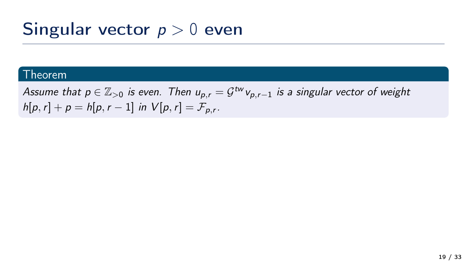## Singular vector  $p > 0$  even

#### Theorem

Assume that  $p\in\mathbb{Z}_{>0}$  is even. Then  $u_{p,r}=\mathcal{G}^{tw}$ v $_{p,r-1}$  is a singular vector of weight  $h[p,r] + p = h[p,r-1]$  in  $V[p,r] = \mathcal{F}_{p,r}$ .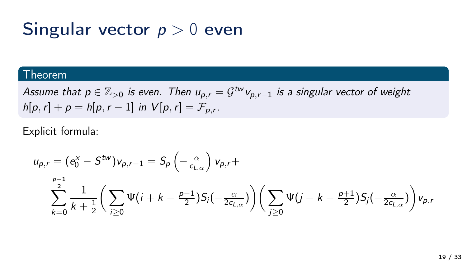### Singular vector  $p > 0$  even

#### Theorem

Assume that  $p\in\mathbb{Z}_{>0}$  is even. Then  $u_{p,r}=\mathcal{G}^{tw}$ v $_{p,r-1}$  is a singular vector of weight  $h[p,r] + p = h[p,r-1]$  in  $V[p,r] = \mathcal{F}_{p,r}$ .

Explicit formula:

$$
u_{p,r} = (e_0^x - S^{tw})v_{p,r-1} = S_p\left(-\frac{\alpha}{c_{L,\alpha}}\right)v_{p,r} + \sum_{k=0}^{\frac{p-1}{2}} \frac{1}{k+\frac{1}{2}} \left(\sum_{i\geq 0} \Psi(i+k-\frac{p-1}{2})S_i(-\frac{\alpha}{2c_{L,\alpha}})\right) \left(\sum_{j\geq 0} \Psi(j-k-\frac{p+1}{2})S_j(-\frac{\alpha}{2c_{L,\alpha}})\right)v_{p,r}
$$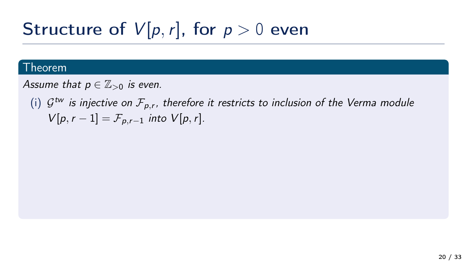#### Theorem

Assume that  $p \in \mathbb{Z}_{>0}$  is even.

(i)  $\mathcal{G}^{tw}$  is injective on  $\mathcal{F}_{p,r}$ , therefore it restricts to inclusion of the Verma module  $V[p, r - 1] = \mathcal{F}_{p,r-1}$  into  $V[p, r]$ .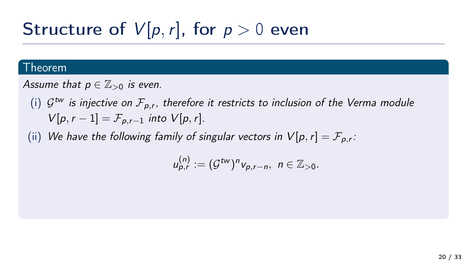#### Theorem

Assume that  $p \in \mathbb{Z}_{>0}$  is even.

(i)  $\mathcal{G}^{tw}$  is injective on  $\mathcal{F}_{p,r}$ , therefore it restricts to inclusion of the Verma module  $V[p, r - 1] = \mathcal{F}_{p,r-1}$  into  $V[p, r]$ .

(ii) We have the following family of singular vectors in  $V[\rho,r]=\mathcal{F}_{\rho,r}.$ 

$$
u_{p,r}^{(n)} := (\mathcal{G}^{tw})^n v_{p,r-n}, \; n \in \mathbb{Z}_{>0}.
$$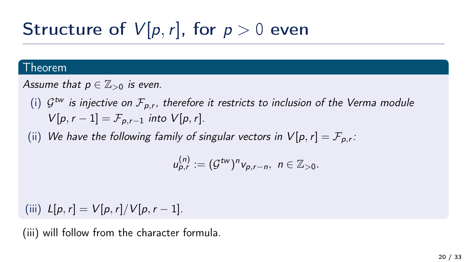#### Theorem

Assume that  $p \in \mathbb{Z}_{>0}$  is even.

(i)  $\mathcal{G}^{tw}$  is injective on  $\mathcal{F}_{p,r}$ , therefore it restricts to inclusion of the Verma module  $V[p, r - 1] = \mathcal{F}_{p,r-1}$  into  $V[p, r]$ .

(ii) We have the following family of singular vectors in  $V[\rho,r]=\mathcal{F}_{\rho,r}.$ 

$$
u_{p,r}^{(n)} := (\mathcal{G}^{tw})^n v_{p,r-n}, \; n \in \mathbb{Z}_{>0}.
$$

(iii)  $L[p, r] = V[p, r]/V[p, r - 1].$ 

(iii) will follow from the character formula.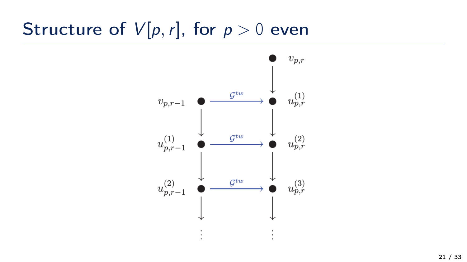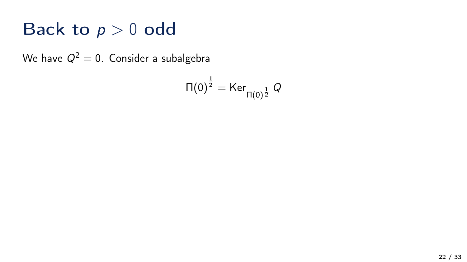## Back to  $p > 0$  odd

We have  $Q^2 = 0$ . Consider a subalgebra

$$
\overline{\Pi(0)}^{\frac{1}{2}} = \text{Ker}_{\Pi(0)^{\frac{1}{2}}} Q
$$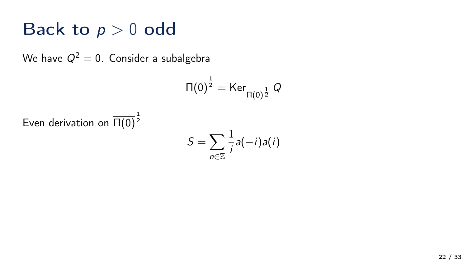### Back to  $p > 0$  odd

We have  $Q^2 = 0$ . Consider a subalgebra

$$
\overline{\Pi(0)}^{\frac{1}{2}} = \text{Ker}_{\Pi(0)^{\frac{1}{2}}} Q
$$

Even derivation on  $\overline{\Pi(0)}^{\frac{1}{2}}$ 

$$
S=\sum_{n\in\mathbb{Z}}\frac{1}{i}a(-i)a(i)
$$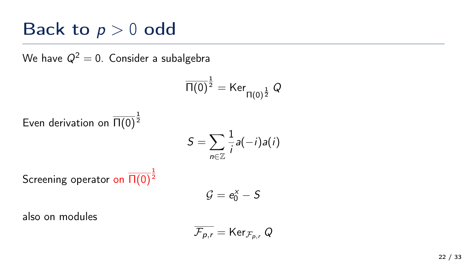### Back to  $p > 0$  odd

We have  $Q^2 = 0$ . Consider a subalgebra

$$
\overline{\Pi(0)}^{\frac{1}{2}} = \text{Ker}_{\Pi(0)^{\frac{1}{2}}} Q
$$

Even derivation on  $\overline{\Pi(0)}^{\frac{1}{2}}$ 

$$
S=\sum_{n\in\mathbb{Z}}\frac{1}{i}a(-i)a(i)
$$

Screening operator on  $\overline{\Pi(0)}^{\frac{1}{2}}$ 

$$
\mathcal{G}=e_0^x-S
$$

also on modules

$$
\overline{\mathcal{F}_{p,r}} = \text{Ker}_{\mathcal{F}_{p,r}} Q
$$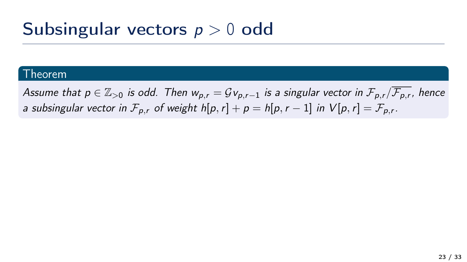## Subsingular vectors  $p > 0$  odd

#### **Theorem**

Assume that  $p\in\Z_{>0}$  is odd. Then  $w_{p,r}=\mathcal Gv_{p,r-1}$  is a singular vector in  $\mathcal F_{p,r}/\overline{\mathcal F_{p,r}}$ , hence a subsingular vector in  $\mathcal{F}_{\rho,r}$  of weight  $h[p,r]+p=h[p,r-1]$  in  $V[p,r]=\mathcal{F}_{\rho,r}.$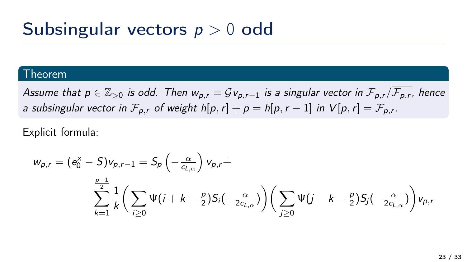### Subsingular vectors  $p > 0$  odd

#### **Theorem**

Assume that  $p\in\Z_{>0}$  is odd. Then  $w_{p,r}=\mathcal Gv_{p,r-1}$  is a singular vector in  $\mathcal F_{p,r}/\overline{\mathcal F_{p,r}}$ , hence a subsingular vector in  $\mathcal{F}_{\rho,r}$  of weight  $h[p,r]+p=h[p,r-1]$  in  $V[p,r]=\mathcal{F}_{\rho,r}.$ 

Explicit formula:

$$
w_{p,r} = (e_0^x - S)v_{p,r-1} = S_p \left(-\frac{\alpha}{c_{L,\alpha}}\right) v_{p,r} + \sum_{k=1}^{\frac{p-1}{2}} \frac{1}{k} \left( \sum_{i \geq 0} \Psi(i+k-\frac{p}{2}) S_i(-\frac{\alpha}{2c_{L,\alpha}}) \right) \left( \sum_{j \geq 0} \Psi(j-k-\frac{p}{2}) S_j(-\frac{\alpha}{2c_{L,\alpha}}) \right) v_{p,r}
$$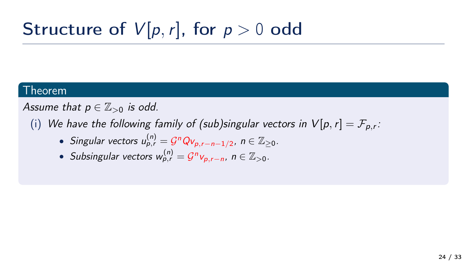#### Theorem

Assume that  $p \in \mathbb{Z}_{>0}$  is odd.

- $(\mathsf{i})$  We have the following family of (sub)singular vectors in  $\mathsf{V}[\rho,r]=\mathcal{F}_{\rho,r}$ :
	- Singular vectors  $u_{p,r}^{(n)} = \mathcal{G}^n Q v_{p,r-n-1/2}$ ,  $n \in \mathbb{Z}_{\geq 0}$ .
	- Subsingular vectors  $w_{p,r}^{(n)} = \mathcal{G}^n v_{p,r-n}$ , n ∈  $\mathbb{Z}_{>0}$ .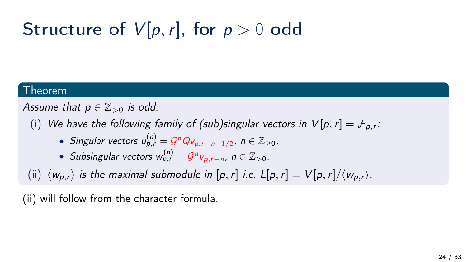#### Theorem

Assume that  $p \in \mathbb{Z}_{>0}$  is odd.

- $(\mathsf{i})$  We have the following family of (sub)singular vectors in  $\mathsf{V}[\rho,r]=\mathcal{F}_{\rho,r}$ :
	- Singular vectors  $u_{p,r}^{(n)} = \mathcal{G}^n Q v_{p,r-n-1/2}$ ,  $n \in \mathbb{Z}_{\geq 0}$ .
	- Subsingular vectors  $w_{p,r}^{(n)} = \mathcal{G}^n v_{p,r-n}$ , n ∈  $\mathbb{Z}_{>0}$ .

(ii)  $\langle w_{p,r} \rangle$  is the maximal submodule in [p, r] i.e. L[p, r] = V[p, r]/ $\langle w_{p,r} \rangle$ .

(ii) will follow from the character formula.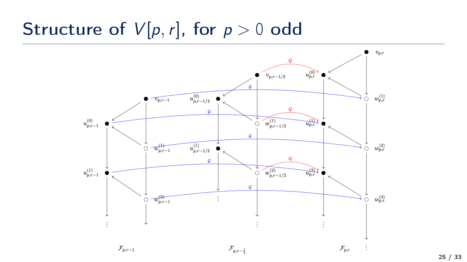

25 / 33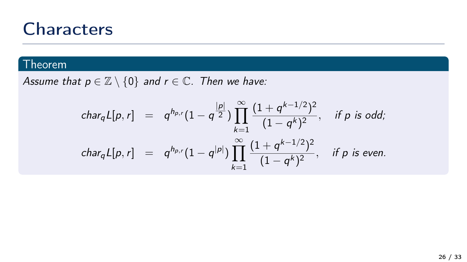#### Theorem

Assume that  $p \in \mathbb{Z} \setminus \{0\}$  and  $r \in \mathbb{C}$ . Then we have:

$$
\begin{array}{rcl}\n\text{char}_{q}L[p,r] & = & q^{h_{p,r}}(1-q^{\frac{|p|}{2}}) \prod_{k=1}^{\infty} \frac{(1+q^{k-1/2})^2}{(1-q^k)^2}, \quad \text{if } p \text{ is odd;} \\
\text{char}_{q}L[p,r] & = & q^{h_{p,r}}(1-q^{|p|}) \prod_{k=1}^{\infty} \frac{(1+q^{k-1/2})^2}{(1-q^k)^2}, \quad \text{if } p \text{ is even.}\n\end{array}
$$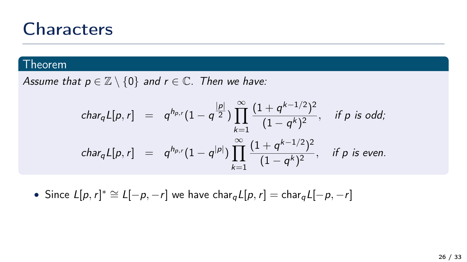#### **Theorem**

Assume that  $p \in \mathbb{Z} \setminus \{0\}$  and  $r \in \mathbb{C}$ . Then we have:

$$
\begin{array}{rcl}\n\text{char}_{q}L[p,r] & = & q^{h_{p,r}}(1-q^{\frac{|p|}{2}}) \prod_{k=1}^{\infty} \frac{(1+q^{k-1/2})^2}{(1-q^k)^2}, \quad \text{if } p \text{ is odd;} \\
\text{char}_{q}L[p,r] & = & q^{h_{p,r}}(1-q^{|p|}) \prod_{k=1}^{\infty} \frac{(1+q^{k-1/2})^2}{(1-q^k)^2}, \quad \text{if } p \text{ is even.}\n\end{array}
$$

• Since  $L[p, r]^* \cong L[-p, -r]$  we have char $_{q}L[p, r] = \text{char}_{q}L[-p, -r]$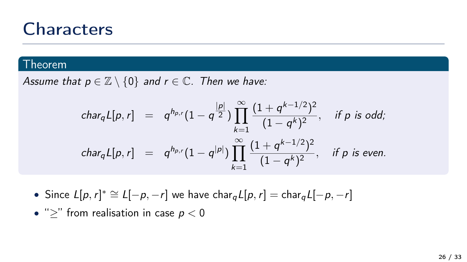#### Theorem

Assume that  $p \in \mathbb{Z} \setminus \{0\}$  and  $r \in \mathbb{C}$ . Then we have:

$$
\begin{array}{rcl}\n\text{char}_{q}L[p,r] & = & q^{h_{p,r}}(1-q^{\frac{|p|}{2}}) \prod_{k=1}^{\infty} \frac{(1+q^{k-1/2})^2}{(1-q^k)^2}, \quad \text{if } p \text{ is odd;} \\
\text{char}_{q}L[p,r] & = & q^{h_{p,r}}(1-q^{|p|}) \prod_{k=1}^{\infty} \frac{(1+q^{k-1/2})^2}{(1-q^k)^2}, \quad \text{if } p \text{ is even.}\n\end{array}
$$

- Since  $L[p, r]^* \cong L[-p, -r]$  we have char $_{q}L[p, r] = \text{char}_{q}L[-p, -r]$
- ">" from realisation in case  $p < 0$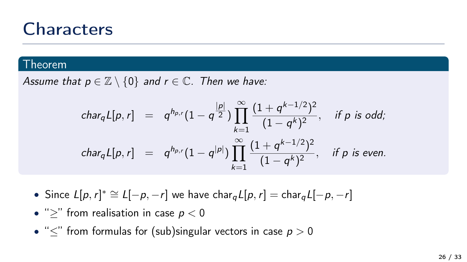#### Theorem

Assume that  $p \in \mathbb{Z} \setminus \{0\}$  and  $r \in \mathbb{C}$ . Then we have:

$$
\begin{array}{rcl}\n\text{char}_{q}L[p,r] & = & q^{h_{p,r}}(1-q^{\frac{|p|}{2}}) \prod_{k=1}^{\infty} \frac{(1+q^{k-1/2})^2}{(1-q^k)^2}, \quad \text{if } p \text{ is odd;} \\
\text{char}_{q}L[p,r] & = & q^{h_{p,r}}(1-q^{|p|}) \prod_{k=1}^{\infty} \frac{(1+q^{k-1/2})^2}{(1-q^k)^2}, \quad \text{if } p \text{ is even.}\n\end{array}
$$

- Since  $L[p, r]^* \cong L[-p, -r]$  we have char $_{q}L[p, r] = \text{char}_{q}L[-p, -r]$
- ">" from realisation in case  $p < 0$
- " $\leq$ " from formulas for (sub)singular vectors in case  $p > 0$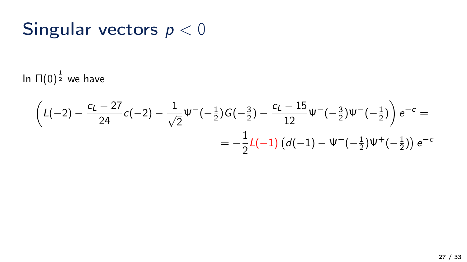## Singular vectors  $p < 0$

In  $\Pi(0)^\frac{1}{2}$  we have

$$
\left(L(-2) - \frac{c_L - 27}{24}c(-2) - \frac{1}{\sqrt{2}}\Psi^{-}(-\frac{1}{2})G(-\frac{3}{2}) - \frac{c_L - 15}{12}\Psi^{-}(-\frac{3}{2})\Psi^{-}(-\frac{1}{2})\right)e^{-c} = -\frac{1}{2}L(-1)\left(d(-1) - \Psi^{-}(-\frac{1}{2})\Psi^{+}(-\frac{1}{2})\right)e^{-c}
$$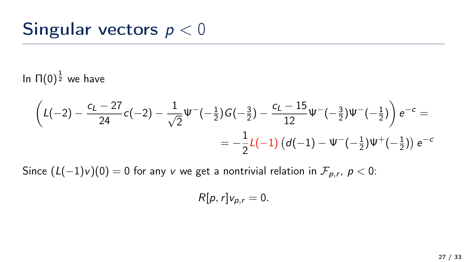## Singular vectors  $p < 0$

### In  $\Pi(0)^\frac{1}{2}$  we have

$$
\left(L(-2) - \frac{c_L - 27}{24}c(-2) - \frac{1}{\sqrt{2}}\Psi^{-}(-\frac{1}{2})G(-\frac{3}{2}) - \frac{c_L - 15}{12}\Psi^{-}(-\frac{3}{2})\Psi^{-}(-\frac{1}{2})\right)e^{-c} = -\frac{1}{2}L(-1)\left(d(-1) - \Psi^{-}(-\frac{1}{2})\Psi^{+}(-\frac{1}{2})\right)e^{-c}
$$

Since  $(L(-1)\nu)(0)=0$  for any  $\nu$  we get a nontrivial relation in  $\mathcal{F}_{\rho,r},\ \rho < 0$ :

$$
R[p,r]v_{p,r}=0.
$$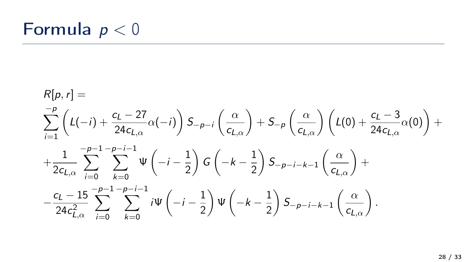## Formula  $p < 0$

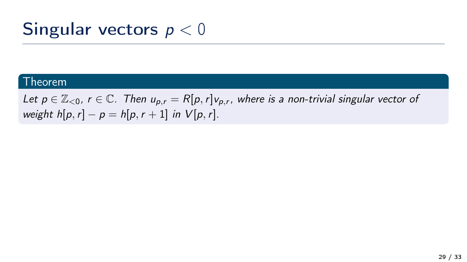## Singular vectors  $p < 0$

#### Theorem

Let  $p \in \mathbb{Z}_{\le 0}$ ,  $r \in \mathbb{C}$ . Then  $u_{p,r} = R[p, r]v_{p,r}$ , where is a non-trivial singular vector of weight  $h[p,r] - p = h[p,r+1]$  in  $V[p,r]$ .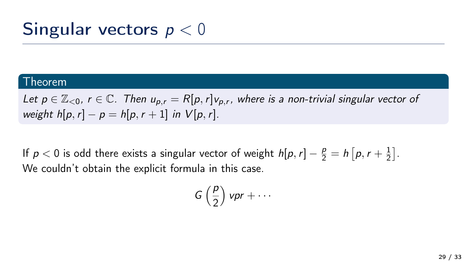## Singular vectors  $p < 0$

#### Theorem

Let  $p \in \mathbb{Z}_{\le 0}$ ,  $r \in \mathbb{C}$ . Then  $u_{p,r} = R[p, r]v_{p,r}$ , where is a non-trivial singular vector of weight  $h[p,r] - p = h[p,r+1]$  in  $V[p,r]$ .

If  $p < 0$  is odd there exists a singular vector of weight  $h[p,r] - \frac{p}{2} = h\left[ p, r + \frac{1}{2}\right]$  $\frac{1}{2}$ . We couldn't obtain the explicit formula in this case.

$$
G\left(\frac{p}{2}\right) \nu pr + \cdots
$$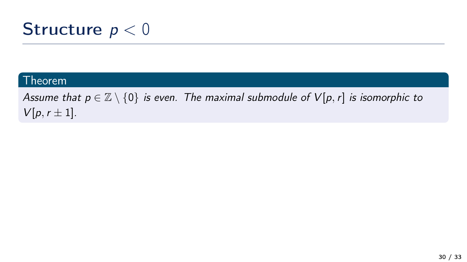## Structure  $p < 0$

#### Theorem

Assume that  $p \in \mathbb{Z} \setminus \{0\}$  is even. The maximal submodule of  $V[p, r]$  is isomorphic to  $V[p, r \pm 1].$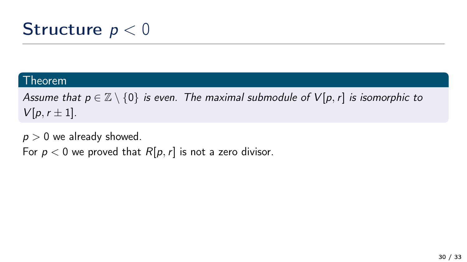## Structure  $p < 0$

#### Theorem

Assume that  $p \in \mathbb{Z} \setminus \{0\}$  is even. The maximal submodule of  $V[p, r]$  is isomorphic to  $V[p, r \pm 1].$ 

 $p > 0$  we already showed. For  $p < 0$  we proved that  $R[p, r]$  is not a zero divisor.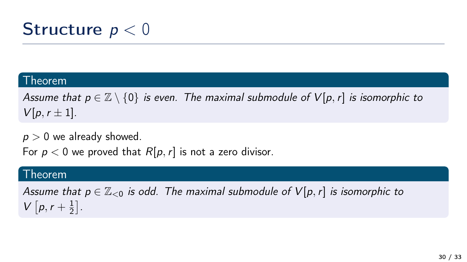## **Structure**  $p < 0$

#### Theorem

Assume that  $p \in \mathbb{Z} \setminus \{0\}$  is even. The maximal submodule of  $V[p, r]$  is isomorphic to  $V[p, r \pm 1].$ 

 $p > 0$  we already showed.

For  $p < 0$  we proved that  $R[p, r]$  is not a zero divisor.

#### Theorem

Assume that  $p \in \mathbb{Z}_{\leq 0}$  is odd. The maximal submodule of  $V[p, r]$  is isomorphic to  $V[p, r + \frac{1}{2}]$  $\frac{1}{2}$ .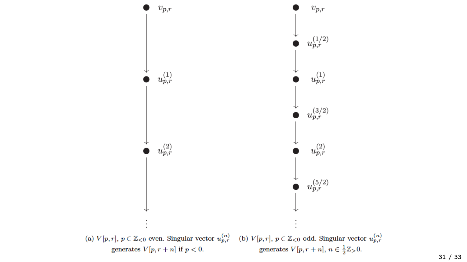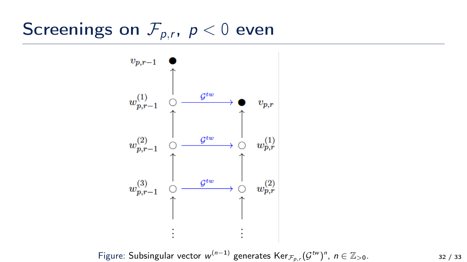## Screenings on  $\mathcal{F}_{p,r}$ ,  $p < 0$  even



Figure: Subsingular vector  $w^{(n-1)}$  generates  $\text{Ker}_{\mathcal{F}_{p,r}}(\mathcal{G}^{tw})^n$ ,  $n \in \mathbb{Z}_{>0}$ . 32 / 33